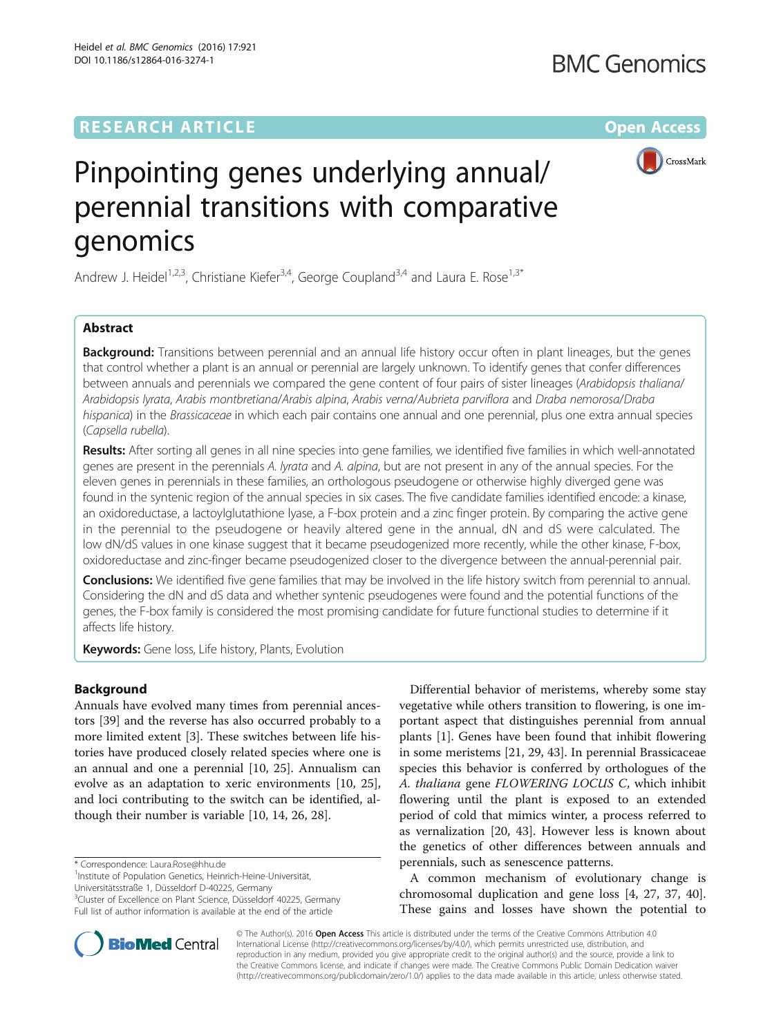# **RESEARCH ARTICLE Example 2018 12:00 Department of the CONNECTION CONNECTION CONNECTION CONNECTION**



# Pinpointing genes underlying annual/ perennial transitions with comparative genomics

Andrew J. Heidel<sup>1,2,3</sup>, Christiane Kiefer<sup>3,4</sup>, George Coupland<sup>3,4</sup> and Laura E. Rose<sup>1,3\*</sup>

# Abstract

Background: Transitions between perennial and an annual life history occur often in plant lineages, but the genes that control whether a plant is an annual or perennial are largely unknown. To identify genes that confer differences between annuals and perennials we compared the gene content of four pairs of sister lineages (Arabidopsis thaliana/ Arabidopsis lyrata, Arabis montbretiana/Arabis alpina, Arabis verna/Aubrieta parviflora and Draba nemorosa/Draba hispanica) in the Brassicaceae in which each pair contains one annual and one perennial, plus one extra annual species (Capsella rubella).

Results: After sorting all genes in all nine species into gene families, we identified five families in which well-annotated genes are present in the perennials A. lyrata and A. alpina, but are not present in any of the annual species. For the eleven genes in perennials in these families, an orthologous pseudogene or otherwise highly diverged gene was found in the syntenic region of the annual species in six cases. The five candidate families identified encode: a kinase, an oxidoreductase, a lactoylglutathione lyase, a F-box protein and a zinc finger protein. By comparing the active gene in the perennial to the pseudogene or heavily altered gene in the annual, dN and dS were calculated. The low dN/dS values in one kinase suggest that it became pseudogenized more recently, while the other kinase, F-box, oxidoreductase and zinc-finger became pseudogenized closer to the divergence between the annual-perennial pair.

**Conclusions:** We identified five gene families that may be involved in the life history switch from perennial to annual. Considering the dN and dS data and whether syntenic pseudogenes were found and the potential functions of the genes, the F-box family is considered the most promising candidate for future functional studies to determine if it affects life history.

Keywords: Gene loss, Life history, Plants, Evolution

# Background

Annuals have evolved many times from perennial ancestors [[39\]](#page-7-0) and the reverse has also occurred probably to a more limited extent [[3\]](#page-7-0). These switches between life histories have produced closely related species where one is an annual and one a perennial [[10, 25\]](#page-7-0). Annualism can evolve as an adaptation to xeric environments [\[10](#page-7-0), [25](#page-7-0)], and loci contributing to the switch can be identified, although their number is variable [[10, 14](#page-7-0), [26](#page-7-0), [28](#page-7-0)].

Universitätsstraße 1, Düsseldorf D-40225, Germany

Differential behavior of meristems, whereby some stay vegetative while others transition to flowering, is one important aspect that distinguishes perennial from annual plants [[1\]](#page-7-0). Genes have been found that inhibit flowering in some meristems [[21, 29,](#page-7-0) [43](#page-8-0)]. In perennial Brassicaceae species this behavior is conferred by orthologues of the A. thaliana gene FLOWERING LOCUS C, which inhibit flowering until the plant is exposed to an extended period of cold that mimics winter, a process referred to as vernalization [\[20](#page-7-0), [43](#page-8-0)]. However less is known about the genetics of other differences between annuals and perennials, such as senescence patterns.

A common mechanism of evolutionary change is chromosomal duplication and gene loss [[4, 27, 37](#page-7-0), [40](#page-7-0)]. These gains and losses have shown the potential to



<sup>\*</sup> Correspondence: [Laura.Rose@hhu.de](mailto:Laura.Rose@hhu.de) <sup>1</sup>

<sup>&</sup>lt;sup>1</sup>Institute of Population Genetics, Heinrich-Heine-Universität,

<sup>&</sup>lt;sup>3</sup>Cluster of Excellence on Plant Science, Düsseldorf 40225, Germany Full list of author information is available at the end of the article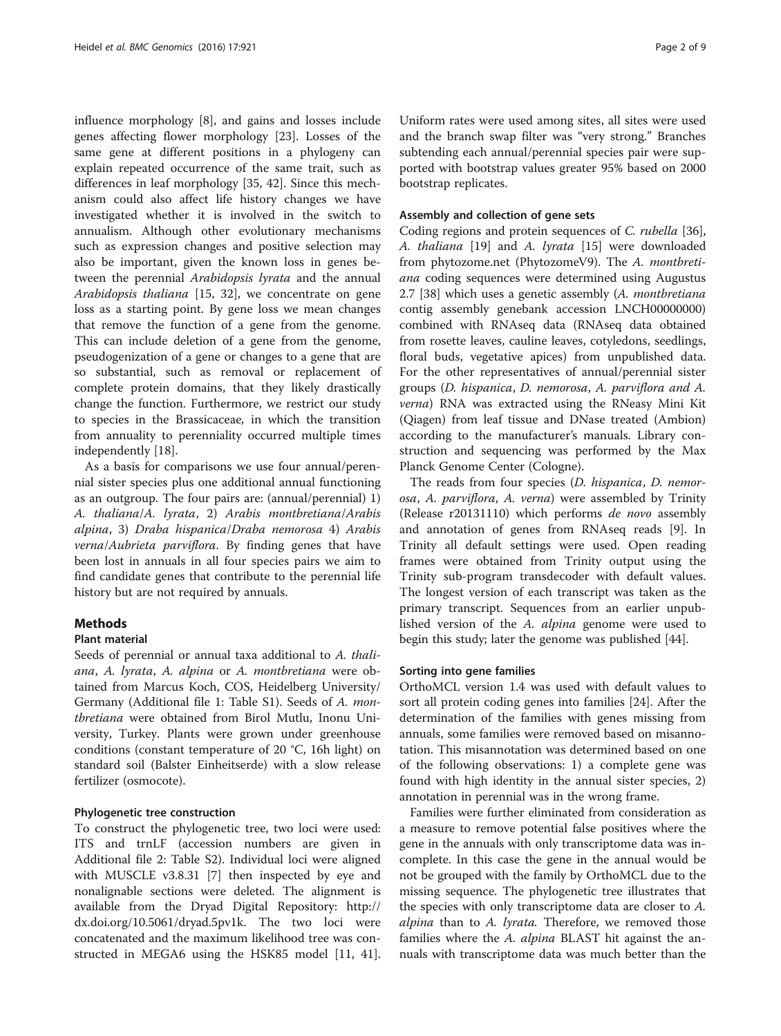<span id="page-1-0"></span>influence morphology [[8\]](#page-7-0), and gains and losses include genes affecting flower morphology [[23\]](#page-7-0). Losses of the same gene at different positions in a phylogeny can explain repeated occurrence of the same trait, such as differences in leaf morphology [\[35, 42](#page-7-0)]. Since this mechanism could also affect life history changes we have investigated whether it is involved in the switch to annualism. Although other evolutionary mechanisms such as expression changes and positive selection may also be important, given the known loss in genes between the perennial Arabidopsis lyrata and the annual Arabidopsis thaliana [[15, 32](#page-7-0)], we concentrate on gene loss as a starting point. By gene loss we mean changes that remove the function of a gene from the genome. This can include deletion of a gene from the genome, pseudogenization of a gene or changes to a gene that are so substantial, such as removal or replacement of complete protein domains, that they likely drastically change the function. Furthermore, we restrict our study to species in the Brassicaceae, in which the transition from annuality to perenniality occurred multiple times independently [[18](#page-7-0)].

As a basis for comparisons we use four annual/perennial sister species plus one additional annual functioning as an outgroup. The four pairs are: (annual/perennial) 1) A. thaliana/A. lyrata, 2) Arabis montbretiana/Arabis alpina, 3) Draba hispanica/Draba nemorosa 4) Arabis verna/Aubrieta parviflora. By finding genes that have been lost in annuals in all four species pairs we aim to find candidate genes that contribute to the perennial life history but are not required by annuals.

# **Methods**

# Plant material

Seeds of perennial or annual taxa additional to A. thaliana, A. lyrata, A. alpina or A. montbretiana were obtained from Marcus Koch, COS, Heidelberg University/ Germany (Additional file [1:](#page-6-0) Table S1). Seeds of A. montbretiana were obtained from Birol Mutlu, Inonu University, Turkey. Plants were grown under greenhouse conditions (constant temperature of 20 °C, 16h light) on standard soil (Balster Einheitserde) with a slow release fertilizer (osmocote).

## Phylogenetic tree construction

To construct the phylogenetic tree, two loci were used: ITS and trnLF (accession numbers are given in Additional file [2:](#page-6-0) Table S2). Individual loci were aligned with MUSCLE v3.8.31 [\[7\]](#page-7-0) then inspected by eye and nonalignable sections were deleted. The alignment is available from the Dryad Digital Repository: [http://](http://dx.doi.org/10.5061/dryad.5pv1k) [dx.doi.org/10.5061/dryad.5pv1k.](http://dx.doi.org/10.5061/dryad.5pv1k) The two loci were concatenated and the maximum likelihood tree was constructed in MEGA6 using the HSK85 model [\[11](#page-7-0), [41](#page-7-0)].

Uniform rates were used among sites, all sites were used and the branch swap filter was "very strong." Branches subtending each annual/perennial species pair were supported with bootstrap values greater 95% based on 2000 bootstrap replicates.

# Assembly and collection of gene sets

Coding regions and protein sequences of C. rubella [\[36](#page-7-0)], A. thaliana [[19\]](#page-7-0) and A. lyrata [[15](#page-7-0)] were downloaded from phytozome.net (PhytozomeV9). The A. montbretiana coding sequences were determined using Augustus 2.7 [\[38\]](#page-7-0) which uses a genetic assembly (A. montbretiana contig assembly genebank accession LNCH00000000) combined with RNAseq data (RNAseq data obtained from rosette leaves, cauline leaves, cotyledons, seedlings, floral buds, vegetative apices) from unpublished data. For the other representatives of annual/perennial sister groups (D. hispanica, D. nemorosa, A. parviflora and A. verna) RNA was extracted using the RNeasy Mini Kit (Qiagen) from leaf tissue and DNase treated (Ambion) according to the manufacturer's manuals. Library construction and sequencing was performed by the Max Planck Genome Center (Cologne).

The reads from four species (D. hispanica, D. nemorosa, A. parviflora, A. verna) were assembled by Trinity (Release r20131110) which performs de novo assembly and annotation of genes from RNAseq reads [[9\]](#page-7-0). In Trinity all default settings were used. Open reading frames were obtained from Trinity output using the Trinity sub-program transdecoder with default values. The longest version of each transcript was taken as the primary transcript. Sequences from an earlier unpublished version of the A. alpina genome were used to begin this study; later the genome was published [\[44](#page-8-0)].

# Sorting into gene families

OrthoMCL version 1.4 was used with default values to sort all protein coding genes into families [\[24\]](#page-7-0). After the determination of the families with genes missing from annuals, some families were removed based on misannotation. This misannotation was determined based on one of the following observations: 1) a complete gene was found with high identity in the annual sister species, 2) annotation in perennial was in the wrong frame.

Families were further eliminated from consideration as a measure to remove potential false positives where the gene in the annuals with only transcriptome data was incomplete. In this case the gene in the annual would be not be grouped with the family by OrthoMCL due to the missing sequence. The phylogenetic tree illustrates that the species with only transcriptome data are closer to A. alpina than to A. lyrata. Therefore, we removed those families where the A. *alpina* BLAST hit against the annuals with transcriptome data was much better than the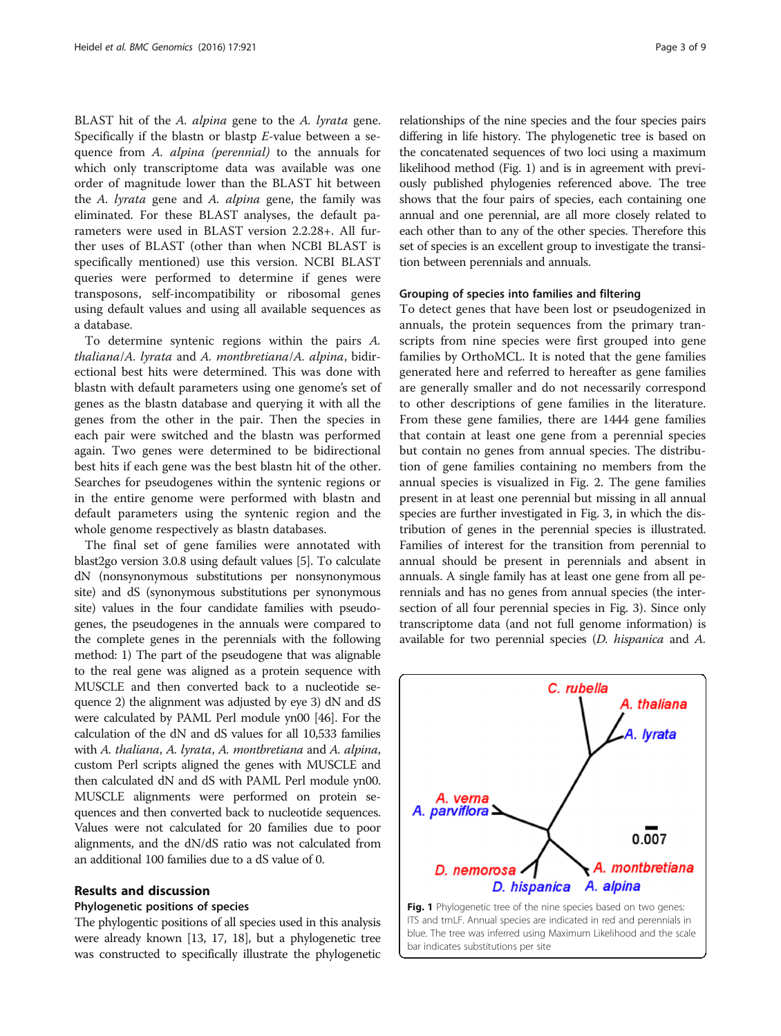BLAST hit of the A. alpina gene to the A. lyrata gene. Specifically if the blastn or blastp E-value between a sequence from A. alpina (perennial) to the annuals for which only transcriptome data was available was one order of magnitude lower than the BLAST hit between the A. lyrata gene and A. alpina gene, the family was eliminated. For these BLAST analyses, the default parameters were used in BLAST version 2.2.28+. All further uses of BLAST (other than when NCBI BLAST is specifically mentioned) use this version. NCBI BLAST queries were performed to determine if genes were transposons, self-incompatibility or ribosomal genes using default values and using all available sequences as a database.

To determine syntenic regions within the pairs A. thaliana/A. lyrata and A. montbretiana/A. alpina, bidirectional best hits were determined. This was done with blastn with default parameters using one genome's set of genes as the blastn database and querying it with all the genes from the other in the pair. Then the species in each pair were switched and the blastn was performed again. Two genes were determined to be bidirectional best hits if each gene was the best blastn hit of the other. Searches for pseudogenes within the syntenic regions or in the entire genome were performed with blastn and default parameters using the syntenic region and the whole genome respectively as blastn databases.

The final set of gene families were annotated with blast2go version 3.0.8 using default values [\[5\]](#page-7-0). To calculate dN (nonsynonymous substitutions per nonsynonymous site) and dS (synonymous substitutions per synonymous site) values in the four candidate families with pseudogenes, the pseudogenes in the annuals were compared to the complete genes in the perennials with the following method: 1) The part of the pseudogene that was alignable to the real gene was aligned as a protein sequence with MUSCLE and then converted back to a nucleotide sequence 2) the alignment was adjusted by eye 3) dN and dS were calculated by PAML Perl module yn00 [[46](#page-8-0)]. For the calculation of the dN and dS values for all 10,533 families with A. thaliana, A. lyrata, A. montbretiana and A. alpina, custom Perl scripts aligned the genes with MUSCLE and then calculated dN and dS with PAML Perl module yn00. MUSCLE alignments were performed on protein sequences and then converted back to nucleotide sequences. Values were not calculated for 20 families due to poor alignments, and the dN/dS ratio was not calculated from an additional 100 families due to a dS value of 0.

# Results and discussion

#### Phylogenetic positions of species

The phylogentic positions of all species used in this analysis were already known [[13](#page-7-0), [17, 18\]](#page-7-0), but a phylogenetic tree was constructed to specifically illustrate the phylogenetic

relationships of the nine species and the four species pairs differing in life history. The phylogenetic tree is based on the concatenated sequences of two loci using a maximum likelihood method (Fig. 1) and is in agreement with previously published phylogenies referenced above. The tree shows that the four pairs of species, each containing one annual and one perennial, are all more closely related to each other than to any of the other species. Therefore this set of species is an excellent group to investigate the transition between perennials and annuals.

### Grouping of species into families and filtering

To detect genes that have been lost or pseudogenized in annuals, the protein sequences from the primary transcripts from nine species were first grouped into gene families by OrthoMCL. It is noted that the gene families generated here and referred to hereafter as gene families are generally smaller and do not necessarily correspond to other descriptions of gene families in the literature. From these gene families, there are 1444 gene families that contain at least one gene from a perennial species but contain no genes from annual species. The distribution of gene families containing no members from the annual species is visualized in Fig. [2](#page-3-0). The gene families present in at least one perennial but missing in all annual species are further investigated in Fig. [3](#page-3-0), in which the distribution of genes in the perennial species is illustrated. Families of interest for the transition from perennial to annual should be present in perennials and absent in annuals. A single family has at least one gene from all perennials and has no genes from annual species (the intersection of all four perennial species in Fig. [3\)](#page-3-0). Since only transcriptome data (and not full genome information) is available for two perennial species (D. hispanica and A.



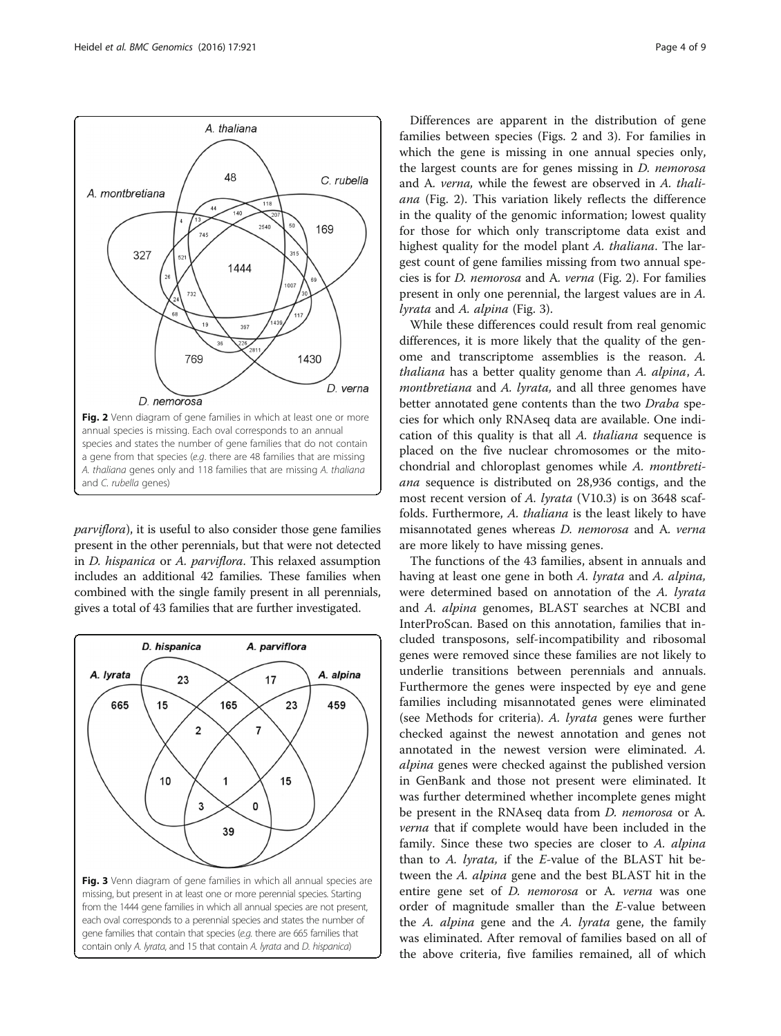parviflora), it is useful to also consider those gene families present in the other perennials, but that were not detected in D. hispanica or A. parviflora. This relaxed assumption includes an additional 42 families. These families when combined with the single family present in all perennials, gives a total of 43 families that are further investigated.



Differences are apparent in the distribution of gene families between species (Figs. 2 and 3). For families in which the gene is missing in one annual species only, the largest counts are for genes missing in D. nemorosa and A. verna, while the fewest are observed in A. thaliana (Fig. 2). This variation likely reflects the difference in the quality of the genomic information; lowest quality for those for which only transcriptome data exist and highest quality for the model plant A. thaliana. The largest count of gene families missing from two annual species is for D. nemorosa and A. verna (Fig. 2). For families present in only one perennial, the largest values are in A. lyrata and A. alpina (Fig. 3).

While these differences could result from real genomic differences, it is more likely that the quality of the genome and transcriptome assemblies is the reason. A. thaliana has a better quality genome than A. alpina, A. montbretiana and A. lyrata, and all three genomes have better annotated gene contents than the two Draba species for which only RNAseq data are available. One indication of this quality is that all A. thaliana sequence is placed on the five nuclear chromosomes or the mitochondrial and chloroplast genomes while A. montbretiana sequence is distributed on 28,936 contigs, and the most recent version of A. lyrata (V10.3) is on 3648 scaffolds. Furthermore, A. thaliana is the least likely to have misannotated genes whereas D. nemorosa and A. verna are more likely to have missing genes.

The functions of the 43 families, absent in annuals and having at least one gene in both A. lyrata and A. alpina, were determined based on annotation of the A. lyrata and A. alpina genomes, BLAST searches at NCBI and InterProScan. Based on this annotation, families that included transposons, self-incompatibility and ribosomal genes were removed since these families are not likely to underlie transitions between perennials and annuals. Furthermore the genes were inspected by eye and gene families including misannotated genes were eliminated (see [Methods](#page-1-0) for criteria). A. lyrata genes were further checked against the newest annotation and genes not annotated in the newest version were eliminated. A. alpina genes were checked against the published version in GenBank and those not present were eliminated. It was further determined whether incomplete genes might be present in the RNAseq data from D. nemorosa or A. verna that if complete would have been included in the family. Since these two species are closer to A. alpina than to A. *lyrata*, if the  $E$ -value of the BLAST hit between the A. alpina gene and the best BLAST hit in the entire gene set of *D. nemorosa* or A. verna was one order of magnitude smaller than the E-value between the A. alpina gene and the A. lyrata gene, the family was eliminated. After removal of families based on all of the above criteria, five families remained, all of which

<span id="page-3-0"></span>![](_page_3_Figure_6.jpeg)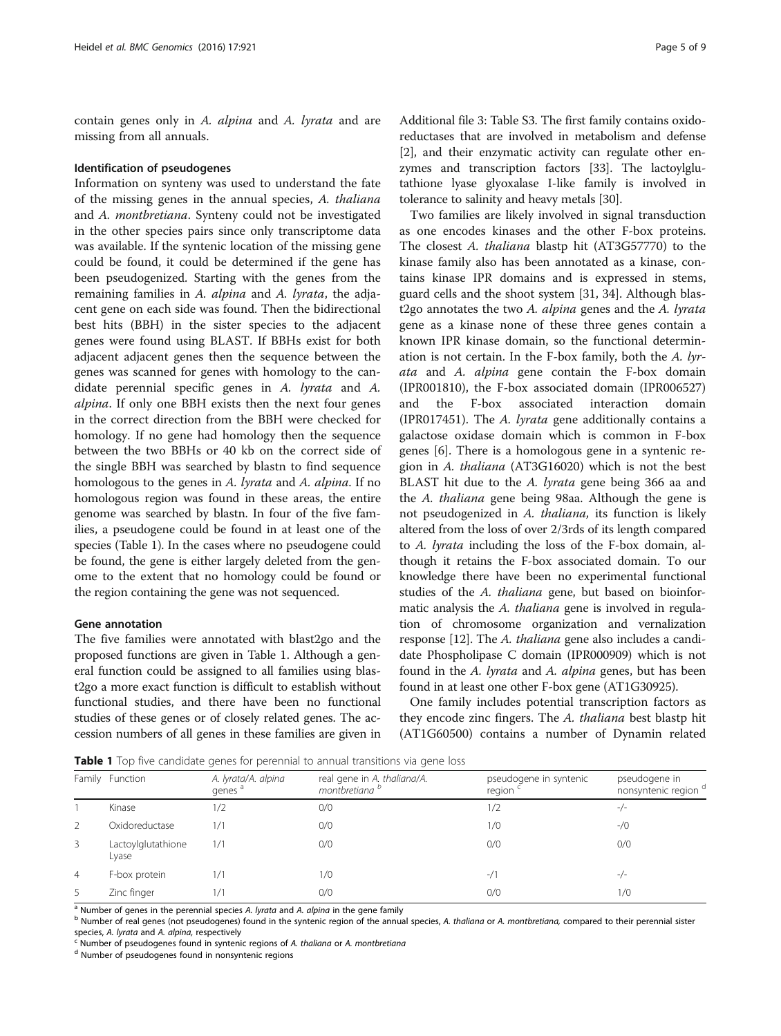contain genes only in A. alpina and A. lyrata and are missing from all annuals.

#### Identification of pseudogenes

Information on synteny was used to understand the fate of the missing genes in the annual species, A. thaliana and A. montbretiana. Synteny could not be investigated in the other species pairs since only transcriptome data was available. If the syntenic location of the missing gene could be found, it could be determined if the gene has been pseudogenized. Starting with the genes from the remaining families in A. alpina and A. lyrata, the adjacent gene on each side was found. Then the bidirectional best hits (BBH) in the sister species to the adjacent genes were found using BLAST. If BBHs exist for both adjacent adjacent genes then the sequence between the genes was scanned for genes with homology to the candidate perennial specific genes in A. lyrata and A. alpina. If only one BBH exists then the next four genes in the correct direction from the BBH were checked for homology. If no gene had homology then the sequence between the two BBHs or 40 kb on the correct side of the single BBH was searched by blastn to find sequence homologous to the genes in A. lyrata and A. alpina. If no homologous region was found in these areas, the entire genome was searched by blastn. In four of the five families, a pseudogene could be found in at least one of the species (Table 1). In the cases where no pseudogene could be found, the gene is either largely deleted from the genome to the extent that no homology could be found or the region containing the gene was not sequenced.

### Gene annotation

The five families were annotated with blast2go and the proposed functions are given in Table 1. Although a general function could be assigned to all families using blast2go a more exact function is difficult to establish without functional studies, and there have been no functional studies of these genes or of closely related genes. The accession numbers of all genes in these families are given in

Additional file [3](#page-6-0): Table S3. The first family contains oxidoreductases that are involved in metabolism and defense [[2\]](#page-7-0), and their enzymatic activity can regulate other enzymes and transcription factors [\[33](#page-7-0)]. The lactoylglutathione lyase glyoxalase I-like family is involved in tolerance to salinity and heavy metals [[30](#page-7-0)].

Two families are likely involved in signal transduction as one encodes kinases and the other F-box proteins. The closest A. thaliana blastp hit (AT3G57770) to the kinase family also has been annotated as a kinase, contains kinase IPR domains and is expressed in stems, guard cells and the shoot system [[31](#page-7-0), [34](#page-7-0)]. Although blast2go annotates the two  $A$ . alpina genes and the  $A$ . lyrata gene as a kinase none of these three genes contain a known IPR kinase domain, so the functional determination is not certain. In the F-box family, both the A. lyrata and A. alpina gene contain the F-box domain (IPR001810), the F-box associated domain (IPR006527) and the F-box associated interaction domain (IPR017451). The A. lyrata gene additionally contains a galactose oxidase domain which is common in F-box genes [\[6](#page-7-0)]. There is a homologous gene in a syntenic region in A. thaliana (AT3G16020) which is not the best BLAST hit due to the A. lyrata gene being 366 aa and the A. thaliana gene being 98aa. Although the gene is not pseudogenized in A. thaliana, its function is likely altered from the loss of over 2/3rds of its length compared to A. lyrata including the loss of the F-box domain, although it retains the F-box associated domain. To our knowledge there have been no experimental functional studies of the A. thaliana gene, but based on bioinformatic analysis the A. thaliana gene is involved in regulation of chromosome organization and vernalization response [[12](#page-7-0)]. The A. thaliana gene also includes a candidate Phospholipase C domain (IPR000909) which is not found in the A. lyrata and A. alpina genes, but has been found in at least one other F-box gene (AT1G30925).

One family includes potential transcription factors as they encode zinc fingers. The A. thaliana best blastp hit (AT1G60500) contains a number of Dynamin related

**Table 1** Top five candidate genes for perennial to annual transitions via gene loss

|                | Family Function             | A. lyrata/A. alpina<br>genes <sup>a</sup> | real gene in A. thaliana/A.<br>montbretiana <sup>b</sup> | pseudogene in syntenic<br>region <sup>c</sup> | pseudogene in<br>nonsyntenic region <sup>d</sup> |
|----------------|-----------------------------|-------------------------------------------|----------------------------------------------------------|-----------------------------------------------|--------------------------------------------------|
|                | Kinase                      | 1/2                                       | 0/0                                                      | 1/2                                           | $-/-$                                            |
| 2              | Oxidoreductase              | 1/1                                       | 0/0                                                      | 1/0                                           | $-$ /0                                           |
| 3              | Lactoylglutathione<br>Lyase | 1/1                                       | 0/0                                                      | 0/0                                           | 0/0                                              |
| $\overline{4}$ | F-box protein               | 1/1                                       | 1/0                                                      | $-1/1$                                        | $-/-$                                            |
| 5              | Zinc finger                 | 1/1                                       | 0/0                                                      | 0/0                                           | 1/0                                              |

<sup>a</sup> Number of genes in the perennial species A. *lyrata* and A. *alpina* in the gene family<br><sup>b</sup> Number of real genes (not pseudogenes) found in the syntenic region of the annual species, A. thaliana or A. montbretiana, com

 $\textdegree$  Number of pseudogenes found in syntenic regions of A. thaliana or A. montbretiana d Number of pseudogenes found in nonsyntenic regions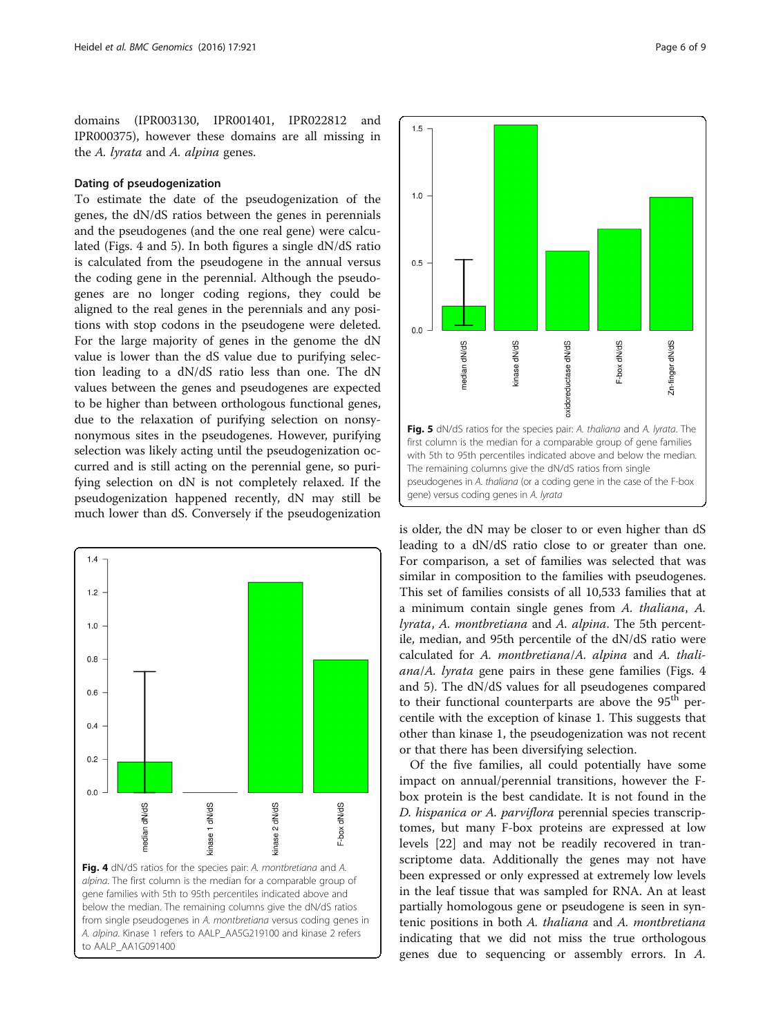domains (IPR003130, IPR001401, IPR022812 and IPR000375), however these domains are all missing in the A. lyrata and A. alpina genes.

# Dating of pseudogenization

To estimate the date of the pseudogenization of the genes, the dN/dS ratios between the genes in perennials and the pseudogenes (and the one real gene) were calculated (Figs. 4 and 5). In both figures a single dN/dS ratio is calculated from the pseudogene in the annual versus the coding gene in the perennial. Although the pseudogenes are no longer coding regions, they could be aligned to the real genes in the perennials and any positions with stop codons in the pseudogene were deleted. For the large majority of genes in the genome the dN value is lower than the dS value due to purifying selection leading to a dN/dS ratio less than one. The dN values between the genes and pseudogenes are expected to be higher than between orthologous functional genes, due to the relaxation of purifying selection on nonsynonymous sites in the pseudogenes. However, purifying selection was likely acting until the pseudogenization occurred and is still acting on the perennial gene, so purifying selection on dN is not completely relaxed. If the pseudogenization happened recently, dN may still be much lower than dS. Conversely if the pseudogenization

![](_page_5_Figure_4.jpeg)

![](_page_5_Figure_5.jpeg)

is older, the dN may be closer to or even higher than dS leading to a dN/dS ratio close to or greater than one. For comparison, a set of families was selected that was similar in composition to the families with pseudogenes. This set of families consists of all 10,533 families that at a minimum contain single genes from A. thaliana, A. lyrata, A. montbretiana and A. alpina. The 5th percentile, median, and 95th percentile of the dN/dS ratio were calculated for A. montbretiana/A. alpina and A. thaliana/A. lyrata gene pairs in these gene families (Figs. 4 and 5). The dN/dS values for all pseudogenes compared to their functional counterparts are above the  $95<sup>th</sup>$  percentile with the exception of kinase 1. This suggests that other than kinase 1, the pseudogenization was not recent or that there has been diversifying selection.

Of the five families, all could potentially have some impact on annual/perennial transitions, however the Fbox protein is the best candidate. It is not found in the D. hispanica or A. parviflora perennial species transcriptomes, but many F-box proteins are expressed at low levels [\[22\]](#page-7-0) and may not be readily recovered in transcriptome data. Additionally the genes may not have been expressed or only expressed at extremely low levels in the leaf tissue that was sampled for RNA. An at least partially homologous gene or pseudogene is seen in syntenic positions in both A. thaliana and A. montbretiana indicating that we did not miss the true orthologous genes due to sequencing or assembly errors. In A.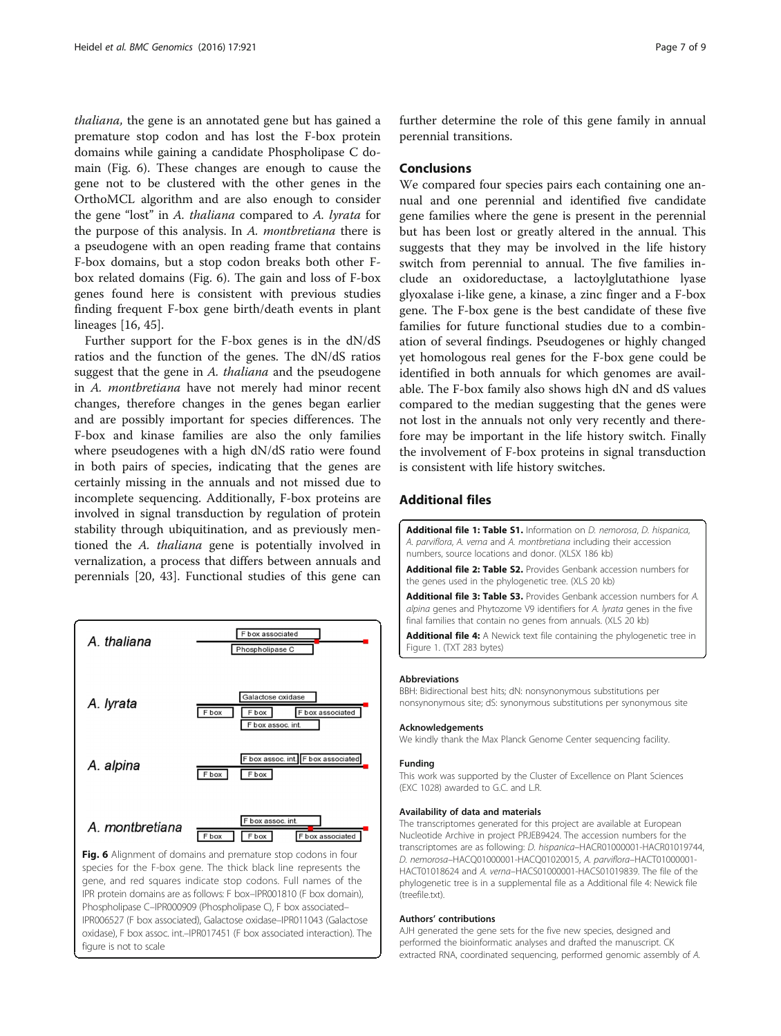<span id="page-6-0"></span>thaliana, the gene is an annotated gene but has gained a premature stop codon and has lost the F-box protein domains while gaining a candidate Phospholipase C domain (Fig. 6). These changes are enough to cause the gene not to be clustered with the other genes in the OrthoMCL algorithm and are also enough to consider the gene "lost" in A. thaliana compared to A. lyrata for the purpose of this analysis. In A. montbretiana there is a pseudogene with an open reading frame that contains F-box domains, but a stop codon breaks both other Fbox related domains (Fig. 6). The gain and loss of F-box genes found here is consistent with previous studies finding frequent F-box gene birth/death events in plant lineages [\[16,](#page-7-0) [45\]](#page-8-0).

Further support for the F-box genes is in the dN/dS ratios and the function of the genes. The dN/dS ratios suggest that the gene in A. thaliana and the pseudogene in A. montbretiana have not merely had minor recent changes, therefore changes in the genes began earlier and are possibly important for species differences. The F-box and kinase families are also the only families where pseudogenes with a high dN/dS ratio were found in both pairs of species, indicating that the genes are certainly missing in the annuals and not missed due to incomplete sequencing. Additionally, F-box proteins are involved in signal transduction by regulation of protein stability through ubiquitination, and as previously mentioned the A. thaliana gene is potentially involved in vernalization, a process that differs between annuals and perennials [[20,](#page-7-0) [43\]](#page-8-0). Functional studies of this gene can

![](_page_6_Figure_3.jpeg)

species for the F-box gene. The thick black line represents the gene, and red squares indicate stop codons. Full names of the IPR protein domains are as follows: F box–IPR001810 (F box domain), Phospholipase C–IPR000909 (Phospholipase C), F box associated– IPR006527 (F box associated), Galactose oxidase–IPR011043 (Galactose oxidase), F box assoc. int.–IPR017451 (F box associated interaction). The figure is not to scale

further determine the role of this gene family in annual perennial transitions.

# Conclusions

We compared four species pairs each containing one annual and one perennial and identified five candidate gene families where the gene is present in the perennial but has been lost or greatly altered in the annual. This suggests that they may be involved in the life history switch from perennial to annual. The five families include an oxidoreductase, a lactoylglutathione lyase glyoxalase i-like gene, a kinase, a zinc finger and a F-box gene. The F-box gene is the best candidate of these five families for future functional studies due to a combination of several findings. Pseudogenes or highly changed yet homologous real genes for the F-box gene could be identified in both annuals for which genomes are available. The F-box family also shows high dN and dS values compared to the median suggesting that the genes were not lost in the annuals not only very recently and therefore may be important in the life history switch. Finally the involvement of F-box proteins in signal transduction is consistent with life history switches.

# Additional files

[Additional file 1: Table S1.](dx.doi.org/10.1186/s12864-016-3274-1) Information on D. nemorosa, D. hispanica, A. parviflora, A. verna and A. montbretiana including their accession numbers, source locations and donor. (XLSX 186 kb)

[Additional file 2: Table S2.](dx.doi.org/10.1186/s12864-016-3274-1) Provides Genbank accession numbers for the genes used in the phylogenetic tree. (XLS 20 kb)

[Additional file 3: Table S3.](dx.doi.org/10.1186/s12864-016-3274-1) Provides Genbank accession numbers for A. alpina genes and Phytozome V9 identifiers for A. lyrata genes in the five final families that contain no genes from annuals. (XLS 20 kb)

[Additional file 4:](dx.doi.org/10.1186/s12864-016-3274-1) A Newick text file containing the phylogenetic tree in Figure 1. (TXT 283 bytes)

#### Abbreviations

BBH: Bidirectional best hits; dN: nonsynonymous substitutions per nonsynonymous site; dS: synonymous substitutions per synonymous site

#### Acknowledgements

We kindly thank the Max Planck Genome Center sequencing facility.

#### Funding

This work was supported by the Cluster of Excellence on Plant Sciences (EXC 1028) awarded to G.C. and L.R.

#### Availability of data and materials

The transcriptomes generated for this project are available at European Nucleotide Archive in project PRJEB9424. The accession numbers for the transcriptomes are as following: D. hispanica–HACR01000001-HACR01019744, D. nemorosa–HACQ01000001-HACQ01020015, A. parviflora–HACT01000001- HACT01018624 and A. verna–HACS01000001-HACS01019839. The file of the phylogenetic tree is in a supplemental file as a Additional file 4: Newick file (treefile.txt).

#### Authors' contributions

AJH generated the gene sets for the five new species, designed and performed the bioinformatic analyses and drafted the manuscript. CK extracted RNA, coordinated sequencing, performed genomic assembly of A.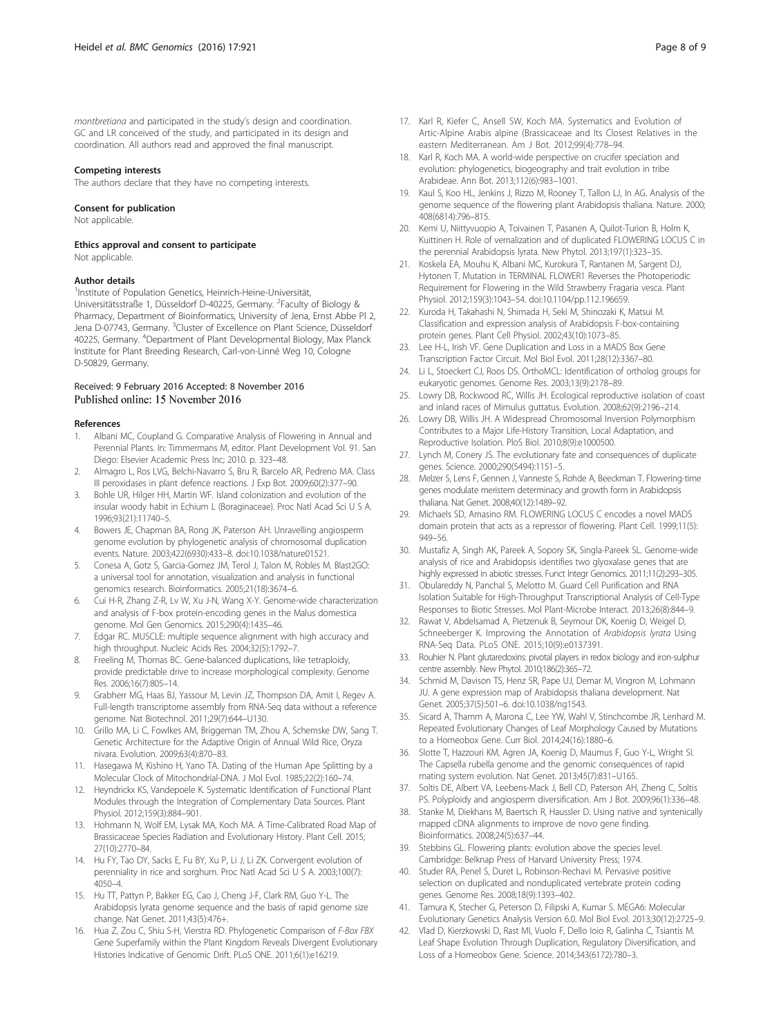<span id="page-7-0"></span>montbretiana and participated in the study's design and coordination. GC and LR conceived of the study, and participated in its design and coordination. All authors read and approved the final manuscript.

#### Competing interests

The authors declare that they have no competing interests.

#### Consent for publication

Not applicable.

Ethics approval and consent to participate Not applicable.

#### Author details

<sup>1</sup>Institute of Population Genetics, Heinrich-Heine-Universität, Universitätsstraße 1, Düsseldorf D-40225, Germany. <sup>2</sup>Faculty of Biology & Pharmacy, Department of Bioinformatics, University of Jena, Ernst Abbe Pl 2, Jena D-07743, Germany. <sup>3</sup>Cluster of Excellence on Plant Science, Düsseldorf 40225, Germany. <sup>4</sup>Department of Plant Developmental Biology, Max Planck Institute for Plant Breeding Research, Carl-von-Linné Weg 10, Cologne D-50829, Germany.

# Received: 9 February 2016 Accepted: 8 November 2016 Published online: 15 November 2016

#### References

- 1. Albani MC, Coupland G. Comparative Analysis of Flowering in Annual and Perennial Plants. In: Timmermans M, editor. Plant Development Vol. 91. San Diego: Elsevier Academic Press Inc; 2010. p. 323–48.
- 2. Almagro L, Ros LVG, Belchi-Navarro S, Bru R, Barcelo AR, Pedreno MA. Class III peroxidases in plant defence reactions. J Exp Bot. 2009;60(2):377–90.
- 3. Bohle UR, Hilger HH, Martin WF. Island colonization and evolution of the insular woody habit in Echium L (Boraginaceae). Proc Natl Acad Sci U S A. 1996;93(21):11740–5.
- 4. Bowers JE, Chapman BA, Rong JK, Paterson AH. Unravelling angiosperm genome evolution by phylogenetic analysis of chromosomal duplication events. Nature. 2003;422(6930):433–8. doi[:10.1038/nature01521.](http://dx.doi.org/10.1038/nature01521)
- 5. Conesa A, Gotz S, Garcia-Gomez JM, Terol J, Talon M, Robles M. Blast2GO: a universal tool for annotation, visualization and analysis in functional genomics research. Bioinformatics. 2005;21(18):3674–6.
- 6. Cui H-R, Zhang Z-R, Lv W, Xu J-N, Wang X-Y. Genome-wide characterization and analysis of F-box protein-encoding genes in the Malus domestica genome. Mol Gen Genomics. 2015;290(4):1435–46.
- 7. Edgar RC. MUSCLE: multiple sequence alignment with high accuracy and high throughput. Nucleic Acids Res. 2004;32(5):1792–7.
- 8. Freeling M, Thomas BC. Gene-balanced duplications, like tetraploidy, provide predictable drive to increase morphological complexity. Genome Res. 2006;16(7):805–14.
- 9. Grabherr MG, Haas BJ, Yassour M, Levin JZ, Thompson DA, Amit I, Regev A. Full-length transcriptome assembly from RNA-Seq data without a reference genome. Nat Biotechnol. 2011;29(7):644–U130.
- 10. Grillo MA, Li C, Fowlkes AM, Briggeman TM, Zhou A, Schemske DW, Sang T. Genetic Architecture for the Adaptive Origin of Annual Wild Rice, Oryza nivara. Evolution. 2009;63(4):870–83.
- 11. Hasegawa M, Kishino H, Yano TA. Dating of the Human Ape Splitting by a Molecular Clock of Mitochondrial-DNA. J Mol Evol. 1985;22(2):160–74.
- 12. Heyndrickx KS, Vandepoele K. Systematic Identification of Functional Plant Modules through the Integration of Complementary Data Sources. Plant Physiol. 2012;159(3):884–901.
- 13. Hohmann N, Wolf EM, Lysak MA, Koch MA. A Time-Calibrated Road Map of Brassicaceae Species Radiation and Evolutionary History. Plant Cell. 2015; 27(10):2770–84.
- 14. Hu FY, Tao DY, Sacks E, Fu BY, Xu P, Li J, Li ZK. Convergent evolution of perenniality in rice and sorghum. Proc Natl Acad Sci U S A. 2003;100(7): 4050–4.
- 15. Hu TT, Pattyn P, Bakker EG, Cao J, Cheng J-F, Clark RM, Guo Y-L. The Arabidopsis lyrata genome sequence and the basis of rapid genome size change. Nat Genet. 2011;43(5):476+.
- 16. Hua Z, Zou C, Shiu S-H, Vierstra RD. Phylogenetic Comparison of F-Box FBX Gene Superfamily within the Plant Kingdom Reveals Divergent Evolutionary Histories Indicative of Genomic Drift. PLoS ONE. 2011;6(1):e16219.
- 17. Karl R, Kiefer C, Ansell SW, Koch MA. Systematics and Evolution of Artic-Alpine Arabis alpine (Brassicaceae and Its Closest Relatives in the eastern Mediterranean. Am J Bot. 2012;99(4):778–94.
- 18. Karl R, Koch MA. A world-wide perspective on crucifer speciation and evolution: phylogenetics, biogeography and trait evolution in tribe Arabideae. Ann Bot. 2013;112(6):983–1001.
- 19. Kaul S, Koo HL, Jenkins J, Rizzo M, Rooney T, Tallon LJ, In AG. Analysis of the genome sequence of the flowering plant Arabidopsis thaliana. Nature. 2000; 408(6814):796–815.
- 20. Kemi U, Niittyvuopio A, Toivainen T, Pasanen A, Quilot-Turion B, Holm K, Kuittinen H. Role of vernalization and of duplicated FLOWERING LOCUS C in the perennial Arabidopsis lyrata. New Phytol. 2013;197(1):323–35.
- 21. Koskela EA, Mouhu K, Albani MC, Kurokura T, Rantanen M, Sargent DJ, Hytonen T. Mutation in TERMINAL FLOWER1 Reverses the Photoperiodic Requirement for Flowering in the Wild Strawberry Fragaria vesca. Plant Physiol. 2012;159(3):1043–54. doi:[10.1104/pp.112.196659.](http://dx.doi.org/10.1104/pp.112.196659)
- 22. Kuroda H, Takahashi N, Shimada H, Seki M, Shinozaki K, Matsui M. Classification and expression analysis of Arabidopsis F-box-containing protein genes. Plant Cell Physiol. 2002;43(10):1073–85.
- 23. Lee H-L, Irish VF. Gene Duplication and Loss in a MADS Box Gene Transcription Factor Circuit. Mol Biol Evol. 2011;28(12):3367–80.
- 24. Li L, Stoeckert CJ, Roos DS. OrthoMCL: Identification of ortholog groups for eukaryotic genomes. Genome Res. 2003;13(9):2178–89.
- 25. Lowry DB, Rockwood RC, Willis JH. Ecological reproductive isolation of coast and inland races of Mimulus guttatus. Evolution. 2008;62(9):2196–214.
- 26. Lowry DB, Willis JH. A Widespread Chromosomal Inversion Polymorphism Contributes to a Major Life-History Transition, Local Adaptation, and Reproductive Isolation. PloS Biol. 2010;8(9):e1000500.
- 27. Lynch M, Conery JS. The evolutionary fate and consequences of duplicate genes. Science. 2000;290(5494):1151–5.
- 28. Melzer S, Lens F, Gennen J, Vanneste S, Rohde A, Beeckman T. Flowering-time genes modulate meristem determinacy and growth form in Arabidopsis thaliana. Nat Genet. 2008;40(12):1489–92.
- 29. Michaels SD, Amasino RM. FLOWERING LOCUS C encodes a novel MADS domain protein that acts as a repressor of flowering. Plant Cell. 1999;11(5): 949–56.
- 30. Mustafiz A, Singh AK, Pareek A, Sopory SK, Singla-Pareek SL. Genome-wide analysis of rice and Arabidopsis identifies two glyoxalase genes that are highly expressed in abiotic stresses. Funct Integr Genomics. 2011;11(2):293–305.
- 31. Obulareddy N, Panchal S, Melotto M. Guard Cell Purification and RNA Isolation Suitable for High-Throughput Transcriptional Analysis of Cell-Type Responses to Biotic Stresses. Mol Plant-Microbe Interact. 2013;26(8):844–9.
- Rawat V, Abdelsamad A, Pietzenuk B, Seymour DK, Koenig D, Weigel D, Schneeberger K. Improving the Annotation of Arabidopsis lyrata Using RNA-Seq Data. PLoS ONE. 2015;10(9):e0137391.
- 33. Rouhier N. Plant glutaredoxins: pivotal players in redox biology and iron-sulphur centre assembly. New Phytol. 2010;186(2):365–72.
- 34. Schmid M, Davison TS, Henz SR, Pape UJ, Demar M, Vingron M, Lohmann JU. A gene expression map of Arabidopsis thaliana development. Nat Genet. 2005;37(5):501–6. doi:[10.1038/ng1543](http://dx.doi.org/10.1038/ng1543).
- 35. Sicard A, Thamm A, Marona C, Lee YW, Wahl V, Stinchcombe JR, Lenhard M. Repeated Evolutionary Changes of Leaf Morphology Caused by Mutations to a Homeobox Gene. Curr Biol. 2014;24(16):1880–6.
- 36. Slotte T, Hazzouri KM, Agren JA, Koenig D, Maumus F, Guo Y-L, Wright SI. The Capsella rubella genome and the genomic consequences of rapid mating system evolution. Nat Genet. 2013;45(7):831–U165.
- 37. Soltis DE, Albert VA, Leebens-Mack J, Bell CD, Paterson AH, Zheng C, Soltis PS. Polyploidy and angiosperm diversification. Am J Bot. 2009;96(1):336–48.
- 38. Stanke M, Diekhans M, Baertsch R, Haussler D. Using native and syntenically mapped cDNA alignments to improve de novo gene finding. Bioinformatics. 2008;24(5):637–44.
- 39. Stebbins GL. Flowering plants: evolution above the species level. Cambridge: Belknap Press of Harvard University Press; 1974.
- 40. Studer RA, Penel S, Duret L, Robinson-Rechavi M. Pervasive positive selection on duplicated and nonduplicated vertebrate protein coding genes. Genome Res. 2008;18(9):1393–402.
- 41. Tamura K, Stecher G, Peterson D, Filipski A, Kumar S. MEGA6: Molecular Evolutionary Genetics Analysis Version 6.0. Mol Biol Evol. 2013;30(12):2725–9.
- 42. Vlad D, Kierzkowski D, Rast MI, Vuolo F, Dello Ioio R, Galinha C, Tsiantis M. Leaf Shape Evolution Through Duplication, Regulatory Diversification, and Loss of a Homeobox Gene. Science. 2014;343(6172):780–3.